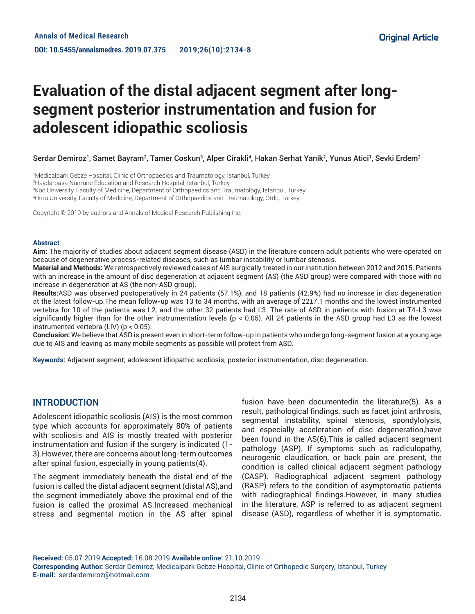# **Evaluation of the distal adjacent segment after longsegment posterior instrumentation and fusion for adolescent idiopathic scoliosis**

Serdar Demiroz<sup>1</sup>, Samet Bayram<sup>2</sup>, Tamer Coskun<sup>3</sup>, Alper Cirakli<sup>4</sup>, Hakan Serhat Yanik<sup>2</sup>, Yunus Atici<sup>1</sup>, Sevki Erdem<sup>2</sup>

 Medicalpark Gebze Hospital, Clinic of Orthopaedics and Traumatology, Istanbul, Turkey Haydarpasa Numune Education and Research Hospital, Istanbul, Turkey Koc University, Faculty of Medicine, Department of Orthopaedics and Traumatology, Istanbul, Turkey Ordu University, Faculty of Medicine, Department of Orthopaedics and Traumatology, Ordu, Turkey

Copyright © 2019 by authors and Annals of Medical Research Publishing Inc.

#### **Abstract**

**Aim:** The majority of studies about adjacent segment disease (ASD) in the literature concern adult patients who were operated on because of degenerative process-related diseases, such as lumbar instability or lumbar stenosis.

**Material and Methods:** We retrospectively reviewed cases of AIS surgically treated in our institution between 2012 and 2015. Patients with an increase in the amount of disc degeneration at adjacent segment (AS) (the ASD group) were compared with those with no increase in degeneration at AS (the non-ASD group).

**Results:**ASD was observed postoperatively in 24 patients (57.1%), and 18 patients (42.9%) had no increase in disc degeneration at the latest follow-up.The mean follow-up was 13 to 34 months, with an average of 22±7.1 months and the lowest instrumented vertebra for 10 of the patients was L2, and the other 32 patients had L3. The rate of ASD in patients with fusion at T4-L3 was significantly higher than for the other instrumentation levels (p < 0.05). All 24 patients in the ASD group had L3 as the lowest instrumented vertebra (LIV) (p < 0.05).

**Conclusion:** We believe that ASD is present even in short-term follow-up in patients who undergo long-segment fusion at a young age due to AIS and leaving as many mobile segments as possible will protect from ASD.

**Keywords:** Adjacent segment; adolescent idiopathic scoliosis; posterior instrumentation, disc degeneration.

### **INTRODUCTION**

Adolescent idiopathic scoliosis (AIS) is the most common type which accounts for approximately 80% of patients with scoliosis and AIS is mostly treated with posterior instrumentation and fusion if the surgery is indicated (1- 3).However, there are concerns about long-term outcomes after spinal fusion, especially in young patients(4).

The segment immediately beneath the distal end of the fusion is called the distal adjacent segment (distal AS),and the segment immediately above the proximal end of the fusion is called the proximal AS.Increased mechanical stress and segmental motion in the AS after spinal

fusion have been documentedin the literature(5). As a result, pathological findings, such as facet joint arthrosis, segmental instability, spinal stenosis, spondylolysis, and especially acceleration of disc degeneration,have been found in the AS(6).This is called adjacent segment pathology (ASP). If symptoms such as radiculopathy, neurogenic claudication, or back pain are present, the condition is called clinical adjacent segment pathology (CASP). Radiographical adjacent segment pathology (RASP) refers to the condition of asymptomatic patients with radiographical findings.However, in many studies in the literature, ASP is referred to as adjacent segment disease (ASD), regardless of whether it is symptomatic.

**Received:** 05.07.2019 **Accepted:** 16.08.2019 **Available online:** 21.10.2019 **Corresponding Author:** Serdar Demiroz, Medicalpark Gebze Hospital, Clinic of Orthopedic Surgery, Istanbul, Turkey **E-mail:** serdardemiroz@hotmail.com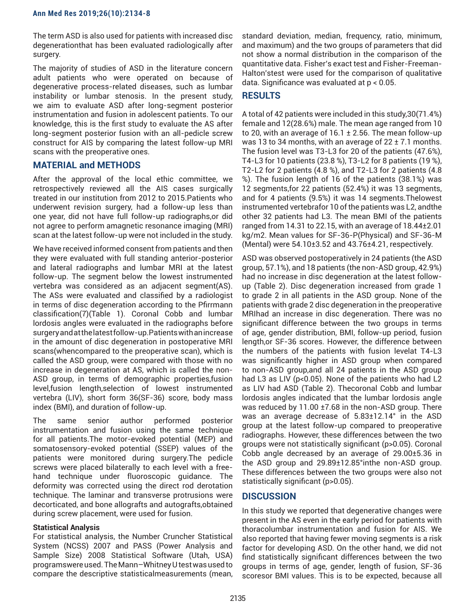The term ASD is also used for patients with increased disc degenerationthat has been evaluated radiologically after surgery.

The majority of studies of ASD in the literature concern adult patients who were operated on because of degenerative process-related diseases, such as lumbar instability or lumbar stenosis. In the present study, we aim to evaluate ASD after long-segment posterior instrumentation and fusion in adolescent patients. To our knowledge, this is the first study to evaluate the AS after long-segment posterior fusion with an all-pedicle screw construct for AIS by comparing the latest follow-up MRI scans with the preoperative ones.

## **MATERIAL and METHODS**

After the approval of the local ethic committee, we retrospectively reviewed all the AIS cases surgically treated in our institution from 2012 to 2015.Patients who underwent revision surgery, had a follow-up less than one year, did not have full follow-up radiographs,or did not agree to perform amagnetic resonance imaging (MRI) scan at the latest follow-up were not included in the study.

We have received informed consent from patients and then they were evaluated with full standing anterior-posterior and lateral radiographs and lumbar MRI at the latest follow-up. The segment below the lowest instrumented vertebra was considered as an adjacent segment(AS). The ASs were evaluated and classified by a radiologist in terms of disc degeneration according to the Pfirrmann classification(7)(Table 1). Coronal Cobb and lumbar lordosis angles were evaluated in the radiographs before surgery and at the latest follow-up.Patients with an increase in the amount of disc degeneration in postoperative MRI scans(whencompared to the preoperative scan), which is called the ASD group, were compared with those with no increase in degeneration at AS, which is called the non-ASD group, in terms of demographic properties,fusion level,fusion length,selection of lowest instrumented vertebra (LIV), short form 36(SF-36) score, body mass index (BMI), and duration of follow-up.

The same senior author performed posterior instrumentation and fusion using the same technique for all patients.The motor-evoked potential (MEP) and somatosensory-evoked potential (SSEP) values of the patients were monitored during surgery.The pedicle screws were placed bilaterally to each level with a freehand technique under fluoroscopic guidance. The deformity was corrected using the direct rod derotation technique. The laminar and transverse protrusions were decorticated, and bone allografts and autografts,obtained during screw placement, were used for fusion.

#### **Statistical Analysis**

For statistical analysis, the Number Cruncher Statistical System (NCSS) 2007 and PASS (Power Analysis and Sample Size) 2008 Statistical Software (Utah, USA) programswere used. The Mann–Whitney U test was used to compare the descriptive statisticalmeasurements (mean,

standard deviation, median, frequency, ratio, minimum, and maximum) and the two groups of parameters that did not show a normal distribution in the comparison of the quantitative data. Fisher's exact test and Fisher-Freeman-Halton'stest were used for the comparison of qualitative data. Significance was evaluated at p < 0.05.

# **RESULTS**

A total of 42 patients were included in this study,30(71.4%) female and 12(28.6%) male. The mean age ranged from 10 to 20, with an average of  $16.1 \pm 2.56$ . The mean follow-up was 13 to 34 months, with an average of  $22 \pm 7.1$  months. The fusion level was T3-L3 for 20 of the patients (47.6%), T4-L3 for 10 patients (23.8 %), T3-L2 for 8 patients (19 %), T2-L2 for 2 patients (4.8 %), and T2-L3 for 2 patients (4.8 %). The fusion length of 16 of the patients (38.1%) was 12 segments,for 22 patients (52.4%) it was 13 segments, and for 4 patients (9.5%) it was 14 segments.Thelowest instrumented vertebrafor 10 of the patients was L2, andthe other 32 patients had L3. The mean BMI of the patients ranged from 14.31 to 22.15, with an average of 18.44±2.01 kg/m2. Mean values for SF-36-P(Physical) and SF-36-M (Mental) were 54.10±3.52 and 43.76±4.21, respectively.

ASD was observed postoperatively in 24 patients (the ASD group, 57.1%), and 18 patients (the non-ASD group, 42.9%) had no increase in disc degeneration at the latest followup (Table 2). Disc degeneration increased from grade 1 to grade 2 in all patients in the ASD group. None of the patients with grade 2 disc degeneration in the preoperative MRIhad an increase in disc degeneration. There was no significant difference between the two groups in terms of age, gender distribution, BMI, follow-up period, fusion length,or SF-36 scores. However, the difference between the numbers of the patients with fusion levelat T4-L3 was significantly higher in ASD group when compared to non-ASD group,and all 24 patients in the ASD group had L3 as LIV (p<0.05). None of the patients who had L2 as LIV had ASD (Table 2). Thecoronal Cobb and lumbar lordosis angles indicated that the lumbar lordosis angle was reduced by 11.00 ±7.68 in the non-ASD group. There was an average decrease of 5.83±12.14° in the ASD group at the latest follow-up compared to preoperative radiographs. However, these differences between the two groups were not statistically significant (p>0.05). Coronal Cobb angle decreased by an average of 29.00±5.36 in the ASD group and 29.89±12.85°inthe non-ASD group. These differences between the two groups were also not statistically significant (p>0.05).

## **DISCUSSION**

In this study we reported that degenerative changes were present in the AS even in the early period for patients with thoracolumbar instrumentation and fusion for AIS. We also reported that having fewer moving segments is a risk factor for developing ASD. On the other hand, we did not find statistically significant differences between the two groups in terms of age, gender, length of fusion, SF-36 scoresor BMI values. This is to be expected, because all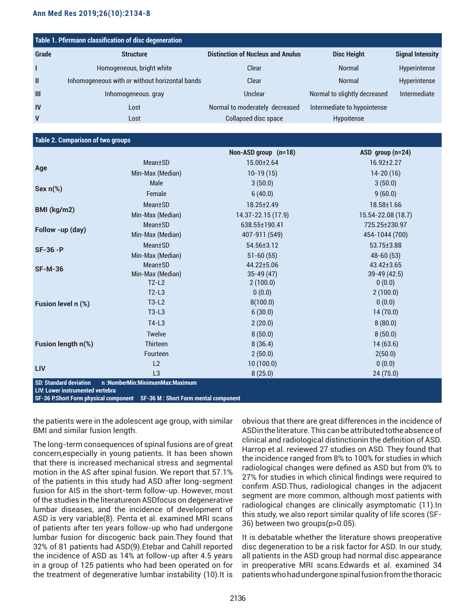| Table 1. Pfirrmann classification of disc degeneration |                                                |                                          |                              |                         |
|--------------------------------------------------------|------------------------------------------------|------------------------------------------|------------------------------|-------------------------|
| <b>Grade</b>                                           | <b>Structure</b>                               | <b>Distinction of Nucleus and Anulus</b> | <b>Disc Height</b>           | <b>Signal Intensity</b> |
|                                                        | Homogeneous, bright white                      | Clear                                    | <b>Normal</b>                | Hyperintense            |
| $\mathbf{I}$                                           | Inhomogeneous with or without horizontal bands | Clear                                    | <b>Normal</b>                | Hyperintense            |
| $\mathbf{m}$                                           | Inhomogeneous. gray                            | Unclear                                  | Normal to slightly decreased | Intermediate            |
| IV                                                     | Lost                                           | Normal to moderately decreased           | Intermediate to hypointense  |                         |
| $\mathbf v$                                            | Lost                                           | Collapsed disc space                     | Hypoitense                   |                         |

#### **Table 2. Comparison of two groups**

| Age<br>Sex $n$ (%)<br>BMI (kg/m2)                                 | Mean±SD<br>Min-Max (Median)<br>Male<br>Female<br><b>Mean</b> ±SD<br>Min-Max (Median)<br><b>Mean</b> ±SD<br>Min-Max (Median) | 15.00±2.64<br>$10-19(15)$<br>3(50.0)<br>6(40.0)<br>18.25±2.49<br>14.37-22.15 (17.9)<br>638.55±190.41 | $16.92 \pm 2.27$<br>$14 - 20(16)$<br>3(50.0)<br>9(60.0)<br>18.58±1.66<br>15.54-22.08 (18.7) |
|-------------------------------------------------------------------|-----------------------------------------------------------------------------------------------------------------------------|------------------------------------------------------------------------------------------------------|---------------------------------------------------------------------------------------------|
|                                                                   |                                                                                                                             |                                                                                                      |                                                                                             |
|                                                                   |                                                                                                                             |                                                                                                      |                                                                                             |
|                                                                   |                                                                                                                             |                                                                                                      |                                                                                             |
|                                                                   |                                                                                                                             |                                                                                                      |                                                                                             |
|                                                                   |                                                                                                                             |                                                                                                      |                                                                                             |
|                                                                   |                                                                                                                             |                                                                                                      |                                                                                             |
|                                                                   |                                                                                                                             |                                                                                                      | 725.25±230.97                                                                               |
| Follow -up (day)                                                  |                                                                                                                             | 407-911 (549)                                                                                        | 454-1044 (700)                                                                              |
| $SF-36 - P$                                                       | <b>Mean</b> ±SD                                                                                                             | 54.56±3.12                                                                                           | 53.75±3.88                                                                                  |
|                                                                   | Min-Max (Median)                                                                                                            | $51 - 60(55)$                                                                                        | $48-60(53)$                                                                                 |
| <b>SF-M-36</b>                                                    | <b>Mean</b> ±SD                                                                                                             | 44.22±5.06                                                                                           | 43.42±3.65                                                                                  |
|                                                                   | Min-Max (Median)                                                                                                            | $35-49(47)$                                                                                          | 39-49 (42.5)                                                                                |
|                                                                   | $T2-L2$                                                                                                                     | 2(100.0)                                                                                             | 0(0.0)                                                                                      |
|                                                                   | $T2-L3$                                                                                                                     | 0(0.0)                                                                                               | 2(100.0)                                                                                    |
| Fusion level n (%)                                                | $T3-L2$                                                                                                                     | 8(100.0)                                                                                             | 0(0.0)                                                                                      |
|                                                                   | $T3-L3$                                                                                                                     | 6(30.0)                                                                                              | 14(70.0)                                                                                    |
|                                                                   | $T4-L3$                                                                                                                     | 2(20.0)                                                                                              | 8(80.0)                                                                                     |
|                                                                   | Twelve                                                                                                                      | 8(50.0)                                                                                              | 8(50.0)                                                                                     |
| Fusion length n(%)                                                | <b>Thirteen</b>                                                                                                             | 8(36.4)                                                                                              | 14(63.6)                                                                                    |
|                                                                   | Fourteen                                                                                                                    | 2(50.0)                                                                                              | 2(50.0)                                                                                     |
|                                                                   | L2                                                                                                                          | 10(100.0)                                                                                            | 0(0.0)                                                                                      |
| <b>LIV</b>                                                        | L <sub>3</sub>                                                                                                              | 8(25.0)                                                                                              | 24(75.0)                                                                                    |
| <b>SD: Standard deviation</b><br>LIV: Lower instrumented vertebra | n:NumberMin:MinimumMax:Maximum                                                                                              |                                                                                                      |                                                                                             |

**SF-36 P:Short Form physical component SF-36 M : Short Form mental component** 

the patients were in the adolescent age group, with similar BMI and similar fusion length.

The long-term consequences of spinal fusions are of great concern,especially in young patients. It has been shown that there is increased mechanical stress and segmental motion in the AS after spinal fusion. We report that 57.1% of the patients in this study had ASD after long-segment fusion for AIS in the short-term follow-up. However, most of the studies in the literatureon ASDfocus on degenerative lumbar diseases, and the incidence of development of ASD is very variable(8). Penta et al. examined MRI scans of patients after ten years follow-up who had undergone lumbar fusion for discogenic back pain.They found that 32% of 81 patients had ASD(9).Etebar and Cahill reported the incidence of ASD as 14% at follow-up after 4.5 years in a group of 125 patients who had been operated on for the treatment of degenerative lumbar instability (10).It is

obvious that there are great differences in the incidence of ASDin the literature. This can be attributed tothe absence of clinical and radiological distinctionin the definition of ASD. Harrop et al. reviewed 27 studies on ASD. They found that the incidence ranged from 8% to 100% for studies in which radiological changes were defined as ASD but from 0% to 27% for studies in which clinical findings were required to confirm ASD.Thus, radiological changes in the adjacent segment are more common, although most patients with radiological changes are clinically asymptomatic (11).In this study, we also report similar quality of life scores (SF-36) between two groups(p>0.05).

It is debatable whether the literature shows preoperative disc degeneration to be a risk factor for ASD. In our study, all patients in the ASD group had normal disc appearance in preoperative MRI scans.Edwards et al. examined 34 patients who had undergone spinal fusion from the thoracic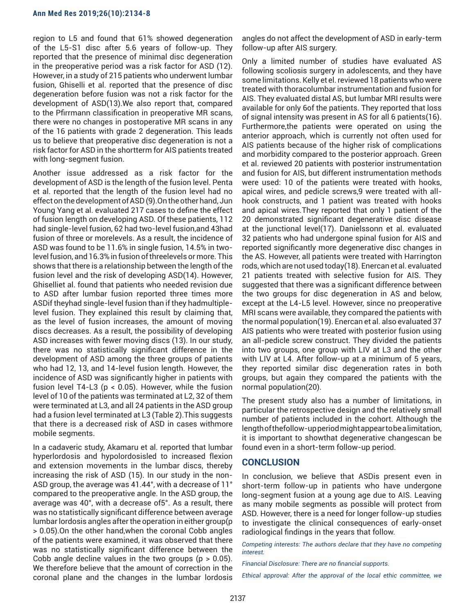#### **Ann Med Res 2019;26(10):2134-8**

region to L5 and found that 61% showed degeneration of the L5-S1 disc after 5.6 years of follow-up. They reported that the presence of minimal disc degeneration in the preoperative period was a risk factor for ASD (12). However, in a study of 215 patients who underwent lumbar fusion, Ghiselli et al. reported that the presence of disc degeneration before fusion was not a risk factor for the development of ASD(13).We also report that, compared to the Pfirrmann classification in preoperative MR scans, there were no changes in postoperative MR scans in any of the 16 patients with grade 2 degeneration. This leads us to believe that preoperative disc degeneration is not a risk factor for ASD in the shortterm for AIS patients treated with long-segment fusion.

Another issue addressed as a risk factor for the development of ASD is the length of the fusion level. Penta et al. reported that the length of the fusion level had no effect on the development of ASD (9).On the other hand, Jun Young Yang et al. evaluated 217 cases to define the effect of fusion length on developing ASD. Of these patients, 112 had single-level fusion, 62 had two-level fusion,and 43had fusion of three or morelevels. As a result, the incidence of ASD was found to be 11.6% in single fusion, 14.5% in twolevel fusion, and 16.3% in fusion of threelevels or more. This shows that there is a relationship between the length of the fusion level and the risk of developing ASD(14). However, Ghiselliet al. found that patients who needed revision due to ASD after lumbar fusion reported three times more ASDif theyhad single-level fusion than if they hadmultiplelevel fusion. They explained this result by claiming that, as the level of fusion increases, the amount of moving discs decreases. As a result, the possibility of developing ASD increases with fewer moving discs (13). In our study, there was no statistically significant difference in the development of ASD among the three groups of patients who had 12, 13, and 14-level fusion length. However, the incidence of ASD was significantly higher in patients with fusion level T4-L3 ( $p < 0.05$ ). However, while the fusion level of 10 of the patients was terminated at L2, 32 of them were terminated at L3, and all 24 patients in the ASD group had a fusion level terminated at L3 (Table 2).This suggests that there is a decreased risk of ASD in cases withmore mobile segments.

In a cadaveric study, Akamaru et al. reported that lumbar hyperlordosis and hypolordosisled to increased flexion and extension movements in the lumbar discs, thereby increasing the risk of ASD (15). In our study in the non-ASD group, the average was 41.44°, with a decrease of 11° compared to the preoperative angle. In the ASD group, the average was 40°, with a decrease of5°. As a result, there was no statistically significant difference between average lumbar lordosis angles after the operation in either group(p > 0.05).On the other hand,when the coronal Cobb angles of the patients were examined, it was observed that there was no statistically significant difference between the Cobb angle decline values in the two groups ( $p > 0.05$ ). We therefore believe that the amount of correction in the coronal plane and the changes in the lumbar lordosis

angles do not affect the development of ASD in early-term follow-up after AIS surgery.

Only a limited number of studies have evaluated AS following scoliosis surgery in adolescents, and they have some limitations. Kelly et el. reviewed 18 patients who were treated with thoracolumbar instrumentation and fusion for AIS. They evaluated distal AS, but lumbar MRI results were available for only 6of the patients. They reported that loss of signal intensity was present in AS for all 6 patients(16). Furthermore,the patients were operated on using the anterior approach, which is currently not often used for AIS patients because of the higher risk of complications and morbidity compared to the posterior approach. Green et al. reviewed 20 patients with posterior instrumentation and fusion for AIS, but different instrumentation methods were used: 10 of the patients were treated with hooks, apical wires, and pedicle screws,9 were treated with allhook constructs, and 1 patient was treated with hooks and apical wires.They reported that only 1 patient of the 20 demonstrated significant degenerative disc disease at the junctional level(17). Danielssonn et al. evaluated 32 patients who had undergone spinal fusion for AIS and reported significantly more degenerative disc changes in the AS. However, all patients were treated with Harrington rods, which are not used today(18). Enercan et al. evaluated 21 patients treated with selective fusion for AIS. They suggested that there was a significant difference between the two groups for disc degeneration in AS and below, except at the L4-L5 level. However, since no preoperative MRI scans were available, they compared the patients with the normal population(19). Enercan et al. also evaluated 37 AIS patients who were treated with posterior fusion using an all-pedicle screw construct. They divided the patients into two groups, one group with LIV at L3 and the other with LIV at L4. After follow-up at a minimum of 5 years, they reported similar disc degeneration rates in both groups, but again they compared the patients with the normal population(20).

The present study also has a number of limitations, in particular the retrospective design and the relatively small number of patients included in the cohort. Although the length of thefollow-up period might appear to be a limitation, it is important to showthat degenerative changescan be found even in a short-term follow-up period.

#### **CONCLUSION**

In conclusion, we believe that ASDis present even in short-term follow-up in patients who have undergone long-segment fusion at a young age due to AIS. Leaving as many mobile segments as possible will protect from ASD. However, there is a need for longer follow-up studies to investigate the clinical consequences of early-onset radiological findings in the years that follow.

*Competing interests: The authors declare that they have no competing interest.* 

*Financial Disclosure: There are no financial supports.*

*Ethical approval: After the approval of the local ethic committee, we*